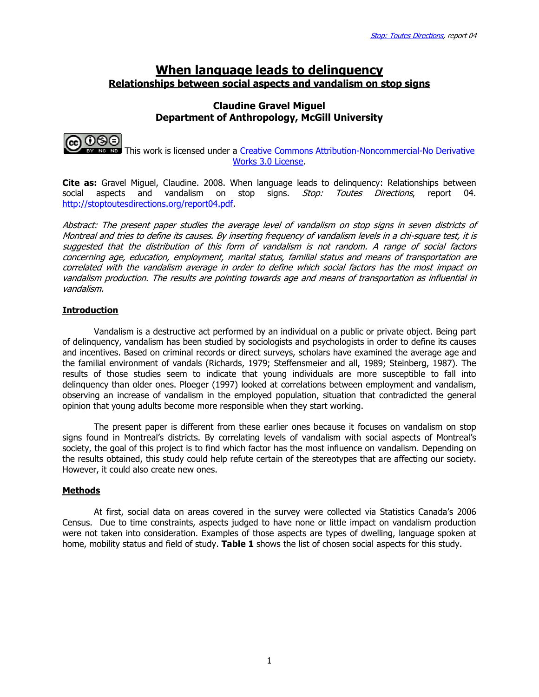# When language leads to delinquency Relationships between social aspects and vandalism on stop signs

# Claudine Gravel Miguel Department of Anthropology, McGill University



 This work is licensed under a Creative Commons Attribution-Noncommercial-No Derivative Works 3.0 License.

**Cite as:** Gravel Miguel, Claudine. 2008. When language leads to delinquency: Relationships between social aspects and vandalism on stop signs. Stop: Toutes Directions, report 04. http://stoptoutesdirections.org/report04.pdf.

Abstract: The present paper studies the average level of vandalism on stop signs in seven districts of Montreal and tries to define its causes. By inserting frequency of vandalism levels in a chi-square test, it is suggested that the distribution of this form of vandalism is not random. A range of social factors concerning age, education, employment, marital status, familial status and means of transportation are correlated with the vandalism average in order to define which social factors has the most impact on vandalism production. The results are pointing towards age and means of transportation as influential in vandalism.

# **Introduction**

Vandalism is a destructive act performed by an individual on a public or private object. Being part of delinquency, vandalism has been studied by sociologists and psychologists in order to define its causes and incentives. Based on criminal records or direct surveys, scholars have examined the average age and the familial environment of vandals (Richards, 1979; Steffensmeier and all, 1989; Steinberg, 1987). The results of those studies seem to indicate that young individuals are more susceptible to fall into delinquency than older ones. Ploeger (1997) looked at correlations between employment and vandalism, observing an increase of vandalism in the employed population, situation that contradicted the general opinion that young adults become more responsible when they start working.

The present paper is different from these earlier ones because it focuses on vandalism on stop signs found in Montreal's districts. By correlating levels of vandalism with social aspects of Montreal's society, the goal of this project is to find which factor has the most influence on vandalism. Depending on the results obtained, this study could help refute certain of the stereotypes that are affecting our society. However, it could also create new ones.

# Methods

At first, social data on areas covered in the survey were collected via Statistics Canada's 2006 Census. Due to time constraints, aspects judged to have none or little impact on vandalism production were not taken into consideration. Examples of those aspects are types of dwelling, language spoken at home, mobility status and field of study. Table 1 shows the list of chosen social aspects for this study.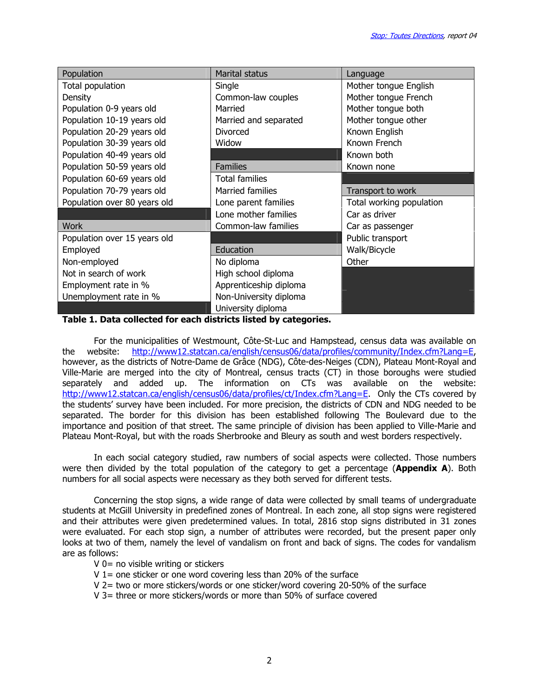| Population                   | <b>Marital status</b>   | Language                 |
|------------------------------|-------------------------|--------------------------|
| Total population             | Single                  | Mother tongue English    |
| Density                      | Common-law couples      | Mother tongue French     |
| Population 0-9 years old     | Married                 | Mother tongue both       |
| Population 10-19 years old   | Married and separated   | Mother tongue other      |
| Population 20-29 years old   | <b>Divorced</b>         | Known English            |
| Population 30-39 years old   | Widow                   | Known French             |
| Population 40-49 years old   |                         | Known both               |
| Population 50-59 years old   | <b>Families</b>         | Known none               |
| Population 60-69 years old   | <b>Total families</b>   |                          |
| Population 70-79 years old   | <b>Married families</b> | Transport to work        |
| Population over 80 years old | Lone parent families    | Total working population |
|                              | Lone mother families    | Car as driver            |
| <b>Work</b>                  | Common-law families     | Car as passenger         |
| Population over 15 years old |                         | Public transport         |
| Employed                     | Education               | Walk/Bicycle             |
| Non-employed                 | No diploma              | Other                    |
| Not in search of work        | High school diploma     |                          |
| Employment rate in %         | Apprenticeship diploma  |                          |
| Unemployment rate in %       | Non-University diploma  |                          |
|                              | University diploma      |                          |

Table 1. Data collected for each districts listed by categories.

For the municipalities of Westmount, Côte-St-Luc and Hampstead, census data was available on the website: http://www12.statcan.ca/english/census06/data/profiles/community/Index.cfm?Lang=E, however, as the districts of Notre-Dame de Grâce (NDG), Côte-des-Neiges (CDN), Plateau Mont-Royal and Ville-Marie are merged into the city of Montreal, census tracts (CT) in those boroughs were studied separately and added up. The information on CTs was available on the website: http://www12.statcan.ca/english/census06/data/profiles/ct/Index.cfm?Lang=E. Only the CTs covered by the students' survey have been included. For more precision, the districts of CDN and NDG needed to be separated. The border for this division has been established following The Boulevard due to the importance and position of that street. The same principle of division has been applied to Ville-Marie and Plateau Mont-Royal, but with the roads Sherbrooke and Bleury as south and west borders respectively.

In each social category studied, raw numbers of social aspects were collected. Those numbers were then divided by the total population of the category to get a percentage (**Appendix A**). Both numbers for all social aspects were necessary as they both served for different tests.

Concerning the stop signs, a wide range of data were collected by small teams of undergraduate students at McGill University in predefined zones of Montreal. In each zone, all stop signs were registered and their attributes were given predetermined values. In total, 2816 stop signs distributed in 31 zones were evaluated. For each stop sign, a number of attributes were recorded, but the present paper only looks at two of them, namely the level of vandalism on front and back of signs. The codes for vandalism are as follows:

V 0= no visible writing or stickers

- $V$  1 = one sticker or one word covering less than 20% of the surface
- V 2= two or more stickers/words or one sticker/word covering 20-50% of the surface
- V 3= three or more stickers/words or more than 50% of surface covered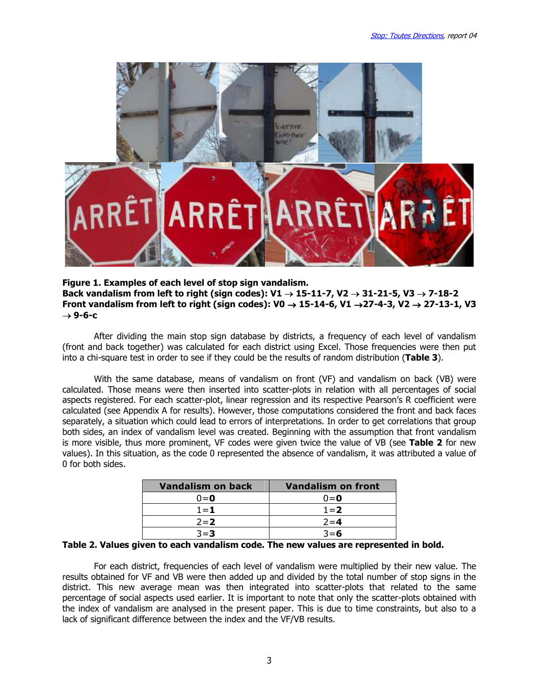

Figure 1. Examples of each level of stop sign vandalism. Back vandalism from left to right (sign codes): V1  $\rightarrow$  15-11-7, V2  $\rightarrow$  31-21-5, V3  $\rightarrow$  7-18-2 Front vandalism from left to right (sign codes): V0  $\rightarrow$  15-14-6, V1  $\rightarrow$ 27-4-3, V2  $\rightarrow$  27-13-1, V3  $\rightarrow$  9-6-c

After dividing the main stop sign database by districts, a frequency of each level of vandalism (front and back together) was calculated for each district using Excel. Those frequencies were then put into a chi-square test in order to see if they could be the results of random distribution (Table 3).

With the same database, means of vandalism on front (VF) and vandalism on back (VB) were calculated. Those means were then inserted into scatter-plots in relation with all percentages of social aspects registered. For each scatter-plot, linear regression and its respective Pearson's R coefficient were calculated (see Appendix A for results). However, those computations considered the front and back faces separately, a situation which could lead to errors of interpretations. In order to get correlations that group both sides, an index of vandalism level was created. Beginning with the assumption that front vandalism is more visible, thus more prominent, VF codes were given twice the value of VB (see Table 2 for new values). In this situation, as the code 0 represented the absence of vandalism, it was attributed a value of 0 for both sides.

| Vandalism on back | <b>Vandalism on front</b> |
|-------------------|---------------------------|
| $0=0$             | $0=0$                     |
| $1 = 1$           | $1 = 2$                   |
| $2 = 2$           | $2 = 4$                   |
| $3 = 3$           | $3 = 6$                   |

#### Table 2. Values given to each vandalism code. The new values are represented in bold.

For each district, frequencies of each level of vandalism were multiplied by their new value. The results obtained for VF and VB were then added up and divided by the total number of stop signs in the district. This new average mean was then integrated into scatter-plots that related to the same percentage of social aspects used earlier. It is important to note that only the scatter-plots obtained with the index of vandalism are analysed in the present paper. This is due to time constraints, but also to a lack of significant difference between the index and the VF/VB results.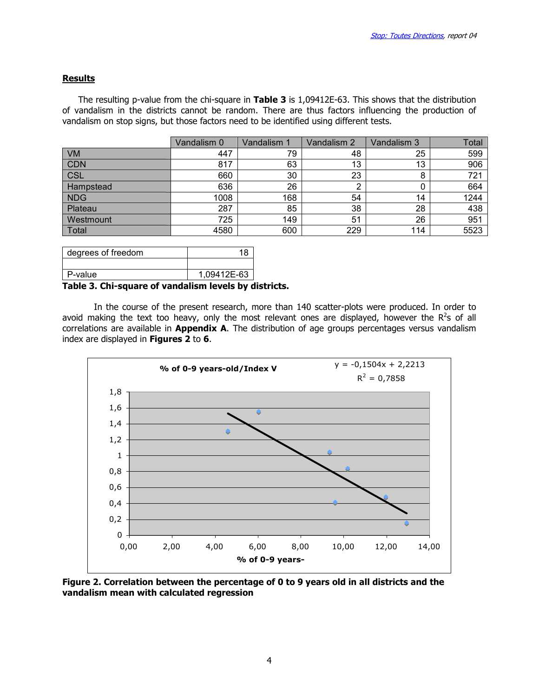### Results

The resulting p-value from the chi-square in Table 3 is 1,09412E-63. This shows that the distribution of vandalism in the districts cannot be random. There are thus factors influencing the production of vandalism on stop signs, but those factors need to be identified using different tests.

|            | Vandalism 0 | Vandalism 1 | Vandalism 2 | Vandalism 3 | Total |
|------------|-------------|-------------|-------------|-------------|-------|
| VM         | 447         | 79          | 48          | 25          | 599   |
| <b>CDN</b> | 817         | 63          | 13          | 13          | 906   |
| <b>CSL</b> | 660         | 30          | 23          | 8           | 721   |
| Hampstead  | 636         | 26          | ົ<br>۷      |             | 664   |
| <b>NDG</b> | 1008        | 168         | 54          | 14          | 1244  |
| Plateau    | 287         | 85          | 38          | 28          | 438   |
| Westmount  | 725         | 149         | 51          | 26          | 951   |
| Total      | 4580        | 600         | 229         | 114         | 5523  |

| degrees of freedom | 18          |
|--------------------|-------------|
|                    |             |
| P-value            | 1,09412E-63 |
|                    |             |

#### Table 3. Chi-square of vandalism levels by districts.

In the course of the present research, more than 140 scatter-plots were produced. In order to avoid making the text too heavy, only the most relevant ones are displayed, however the  $R^2$ s of all correlations are available in **Appendix A**. The distribution of age groups percentages versus vandalism index are displayed in Figures 2 to 6.



Figure 2. Correlation between the percentage of 0 to 9 years old in all districts and the vandalism mean with calculated regression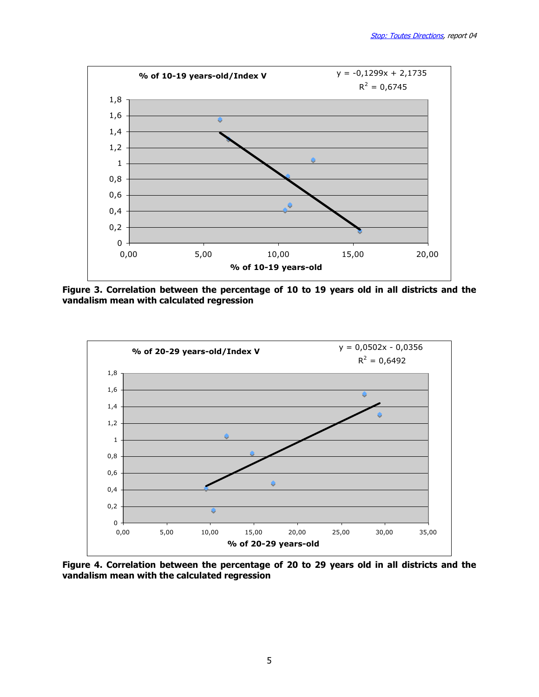

Figure 3. Correlation between the percentage of 10 to 19 years old in all districts and the vandalism mean with calculated regression



Figure 4. Correlation between the percentage of 20 to 29 years old in all districts and the vandalism mean with the calculated regression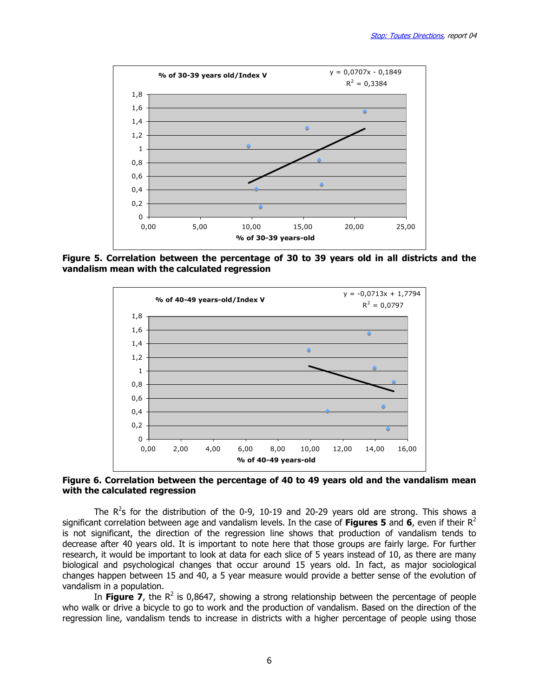

Figure 5. Correlation between the percentage of 30 to 39 years old in all districts and the vandalism mean with the calculated regression



Figure 6. Correlation between the percentage of 40 to 49 years old and the vandalism mean with the calculated regression

The  $R^2$ s for the distribution of the 0-9, 10-19 and 20-29 years old are strong. This shows a significant correlation between age and vandalism levels. In the case of Figures 5 and 6, even if their  $R^2$ is not significant, the direction of the regression line shows that production of vandalism tends to decrease after 40 years old. It is important to note here that those groups are fairly large. For further research, it would be important to look at data for each slice of 5 years instead of 10, as there are many biological and psychological changes that occur around 15 years old. In fact, as major sociological changes happen between 15 and 40, a 5 year measure would provide a better sense of the evolution of vandalism in a population.

In Figure 7, the  $R^2$  is 0,8647, showing a strong relationship between the percentage of people who walk or drive a bicycle to go to work and the production of vandalism. Based on the direction of the regression line, vandalism tends to increase in districts with a higher percentage of people using those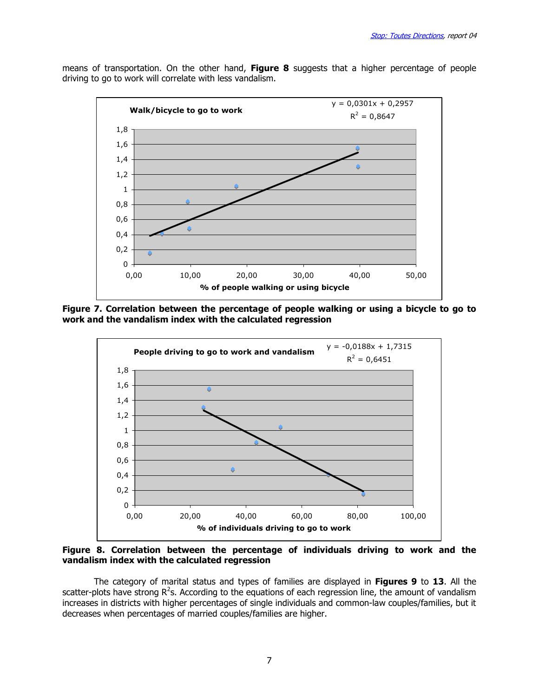means of transportation. On the other hand, Figure 8 suggests that a higher percentage of people driving to go to work will correlate with less vandalism.



Figure 7. Correlation between the percentage of people walking or using a bicycle to go to work and the vandalism index with the calculated regression



Figure 8. Correlation between the percentage of individuals driving to work and the vandalism index with the calculated regression

The category of marital status and types of families are displayed in Figures 9 to 13. All the scatter-plots have strong R<sup>2</sup>s. According to the equations of each regression line, the amount of vandalism increases in districts with higher percentages of single individuals and common-law couples/families, but it decreases when percentages of married couples/families are higher.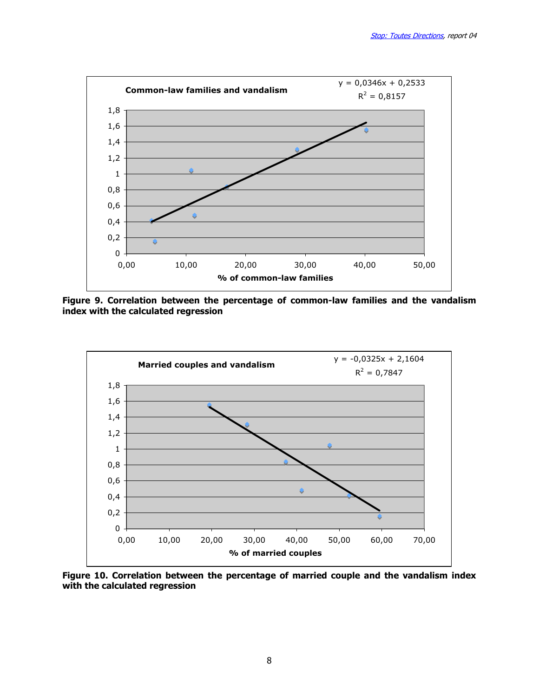

Figure 9. Correlation between the percentage of common-law families and the vandalism index with the calculated regression



Figure 10. Correlation between the percentage of married couple and the vandalism index with the calculated regression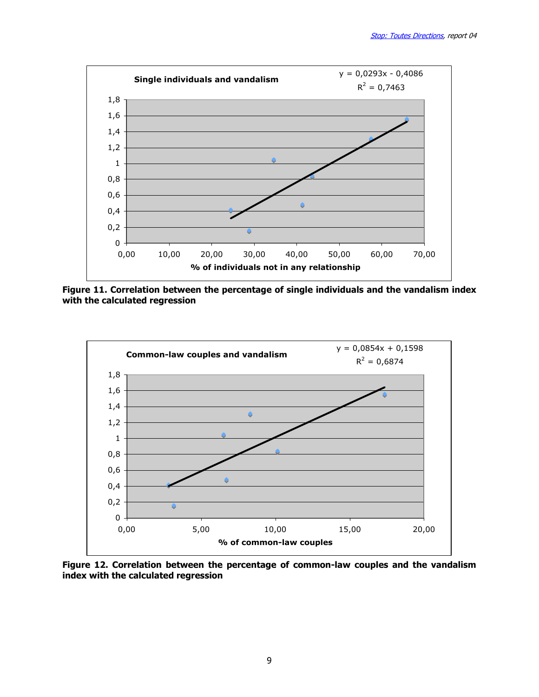![](_page_8_Figure_1.jpeg)

Figure 11. Correlation between the percentage of single individuals and the vandalism index with the calculated regression

![](_page_8_Figure_3.jpeg)

Figure 12. Correlation between the percentage of common-law couples and the vandalism index with the calculated regression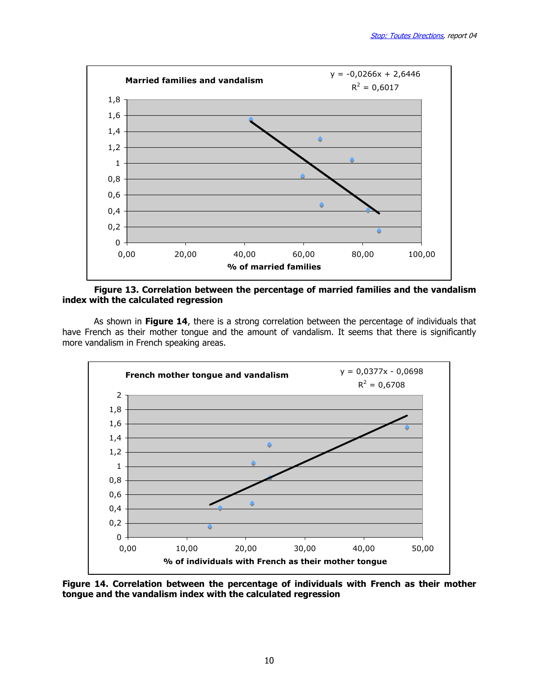![](_page_9_Figure_1.jpeg)

Figure 13. Correlation between the percentage of married families and the vandalism index with the calculated regression

As shown in Figure 14, there is a strong correlation between the percentage of individuals that have French as their mother tongue and the amount of vandalism. It seems that there is significantly more vandalism in French speaking areas.

![](_page_9_Figure_4.jpeg)

Figure 14. Correlation between the percentage of individuals with French as their mother tongue and the vandalism index with the calculated regression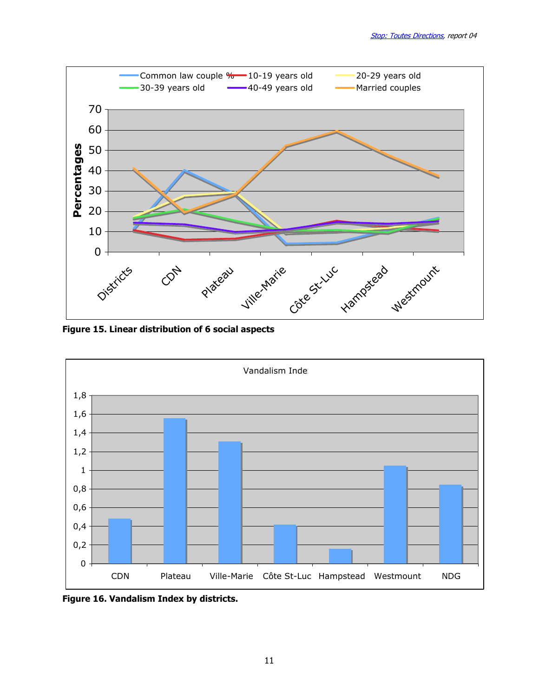![](_page_10_Figure_1.jpeg)

Figure 15. Linear distribution of 6 social aspects

![](_page_10_Figure_3.jpeg)

Figure 16. Vandalism Index by districts.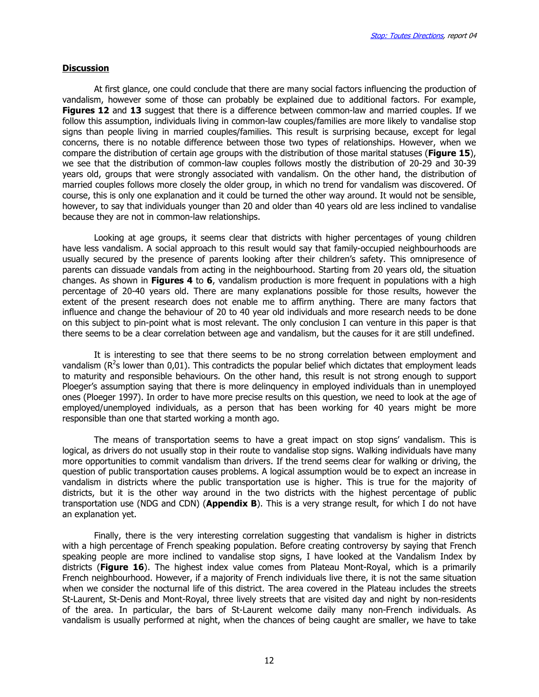#### **Discussion**

 At first glance, one could conclude that there are many social factors influencing the production of vandalism, however some of those can probably be explained due to additional factors. For example, Figures 12 and 13 suggest that there is a difference between common-law and married couples. If we follow this assumption, individuals living in common-law couples/families are more likely to vandalise stop signs than people living in married couples/families. This result is surprising because, except for legal concerns, there is no notable difference between those two types of relationships. However, when we compare the distribution of certain age groups with the distribution of those marital statuses (Figure 15), we see that the distribution of common-law couples follows mostly the distribution of 20-29 and 30-39 years old, groups that were strongly associated with vandalism. On the other hand, the distribution of married couples follows more closely the older group, in which no trend for vandalism was discovered. Of course, this is only one explanation and it could be turned the other way around. It would not be sensible, however, to say that individuals younger than 20 and older than 40 years old are less inclined to vandalise because they are not in common-law relationships.

Looking at age groups, it seems clear that districts with higher percentages of young children have less vandalism. A social approach to this result would say that family-occupied neighbourhoods are usually secured by the presence of parents looking after their children's safety. This omnipresence of parents can dissuade vandals from acting in the neighbourhood. Starting from 20 years old, the situation changes. As shown in Figures 4 to 6, vandalism production is more frequent in populations with a high percentage of 20-40 years old. There are many explanations possible for those results, however the extent of the present research does not enable me to affirm anything. There are many factors that influence and change the behaviour of 20 to 40 year old individuals and more research needs to be done on this subject to pin-point what is most relevant. The only conclusion I can venture in this paper is that there seems to be a clear correlation between age and vandalism, but the causes for it are still undefined.

 It is interesting to see that there seems to be no strong correlation between employment and vandalism ( $R^2$ s lower than 0,01). This contradicts the popular belief which dictates that employment leads to maturity and responsible behaviours. On the other hand, this result is not strong enough to support Ploeger's assumption saying that there is more delinquency in employed individuals than in unemployed ones (Ploeger 1997). In order to have more precise results on this question, we need to look at the age of employed/unemployed individuals, as a person that has been working for 40 years might be more responsible than one that started working a month ago.

 The means of transportation seems to have a great impact on stop signs' vandalism. This is logical, as drivers do not usually stop in their route to vandalise stop signs. Walking individuals have many more opportunities to commit vandalism than drivers. If the trend seems clear for walking or driving, the question of public transportation causes problems. A logical assumption would be to expect an increase in vandalism in districts where the public transportation use is higher. This is true for the majority of districts, but it is the other way around in the two districts with the highest percentage of public transportation use (NDG and CDN) (**Appendix B**). This is a very strange result, for which I do not have an explanation yet.

 Finally, there is the very interesting correlation suggesting that vandalism is higher in districts with a high percentage of French speaking population. Before creating controversy by saying that French speaking people are more inclined to vandalise stop signs, I have looked at the Vandalism Index by districts (Figure 16). The highest index value comes from Plateau Mont-Royal, which is a primarily French neighbourhood. However, if a majority of French individuals live there, it is not the same situation when we consider the nocturnal life of this district. The area covered in the Plateau includes the streets St-Laurent, St-Denis and Mont-Royal, three lively streets that are visited day and night by non-residents of the area. In particular, the bars of St-Laurent welcome daily many non-French individuals. As vandalism is usually performed at night, when the chances of being caught are smaller, we have to take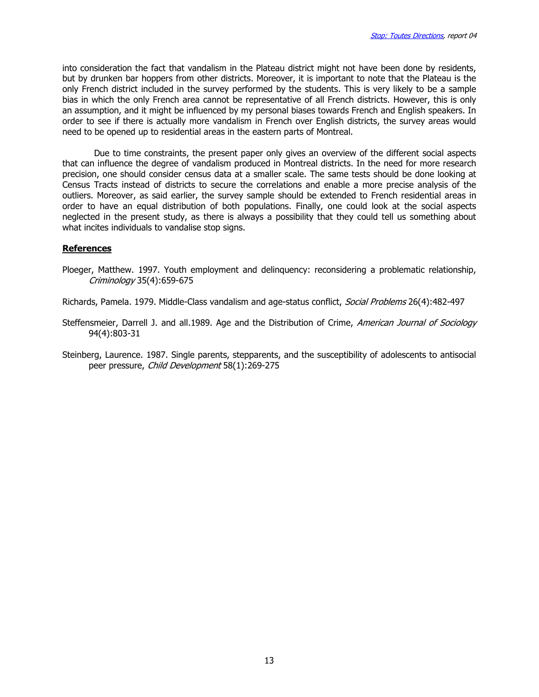into consideration the fact that vandalism in the Plateau district might not have been done by residents, but by drunken bar hoppers from other districts. Moreover, it is important to note that the Plateau is the only French district included in the survey performed by the students. This is very likely to be a sample bias in which the only French area cannot be representative of all French districts. However, this is only an assumption, and it might be influenced by my personal biases towards French and English speakers. In order to see if there is actually more vandalism in French over English districts, the survey areas would need to be opened up to residential areas in the eastern parts of Montreal.

 Due to time constraints, the present paper only gives an overview of the different social aspects that can influence the degree of vandalism produced in Montreal districts. In the need for more research precision, one should consider census data at a smaller scale. The same tests should be done looking at Census Tracts instead of districts to secure the correlations and enable a more precise analysis of the outliers. Moreover, as said earlier, the survey sample should be extended to French residential areas in order to have an equal distribution of both populations. Finally, one could look at the social aspects neglected in the present study, as there is always a possibility that they could tell us something about what incites individuals to vandalise stop signs.

#### References

Ploeger, Matthew. 1997. Youth employment and delinquency: reconsidering a problematic relationship, Criminology 35(4):659-675

Richards, Pamela. 1979. Middle-Class vandalism and age-status conflict, Social Problems 26(4):482-497

Steffensmeier, Darrell J. and all.1989. Age and the Distribution of Crime, American Journal of Sociology 94(4):803-31

Steinberg, Laurence. 1987. Single parents, stepparents, and the susceptibility of adolescents to antisocial peer pressure, Child Development 58(1):269-275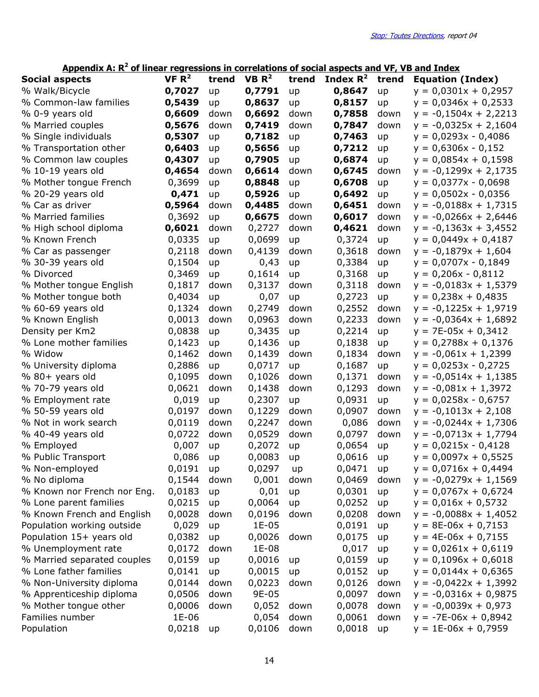### Appendix A:  $R^2$  of linear regressions in correlations of social aspects and VF, VB and Index

| <b>Social aspects</b>       | VF R <sup>2</sup> | trend | VB R <sup>2</sup> | trend | Index $R^2$ | trend | <b>Equation (Index)</b> |
|-----------------------------|-------------------|-------|-------------------|-------|-------------|-------|-------------------------|
| % Walk/Bicycle              | 0,7027            | up    | 0,7791            | up    | 0,8647      | up    | $y = 0.0301x + 0.2957$  |
| % Common-law families       | 0,5439            | up    | 0,8637            | up    | 0,8157      | up    | $y = 0.0346x + 0.2533$  |
| % 0-9 years old             | 0,6609            | down  | 0,6692            | down  | 0,7858      | down  | $y = -0,1504x + 2,2213$ |
| % Married couples           | 0,5676            | down  | 0,7419            | down  | 0,7847      | down  | $y = -0.0325x + 2.1604$ |
| % Single individuals        | 0,5307            | up    | 0,7182            | up    | 0,7463      | up    | $y = 0.0293x - 0.4086$  |
| % Transportation other      | 0,6403            | up    | 0,5656            | up    | 0,7212      | up    | $y = 0,6306x - 0,152$   |
| % Common law couples        | 0,4307            | up    | 0,7905            | up    | 0,6874      | up    | $y = 0.0854x + 0.1598$  |
| % 10-19 years old           | 0,4654            | down  | 0,6614            | down  | 0,6745      | down  | $y = -0,1299x + 2,1735$ |
| % Mother tongue French      | 0,3699            | up    | 0,8848            | up    | 0,6708      | up    | $y = 0.0377x - 0.0698$  |
| % 20-29 years old           | 0,471             | up    | 0,5926            | up    | 0,6492      | up    | $y = 0.0502x - 0.0356$  |
| % Car as driver             | 0,5964            | down  | 0,4485            | down  | 0,6451      | down  | $y = -0.0188x + 1.7315$ |
| % Married families          | 0,3692            | up    | 0,6675            | down  | 0,6017      | down  | $y = -0.0266x + 2.6446$ |
| % High school diploma       | 0,6021            | down  | 0,2727            | down  | 0,4621      | down  | $y = -0,1363x + 3,4552$ |
| % Known French              | 0,0335            | up    | 0,0699            | up    | 0,3724      | up    | $y = 0.0449x + 0.4187$  |
| % Car as passenger          | 0,2118            | down  | 0,4139            | down  | 0,3618      | down  | $y = -0,1879x + 1,604$  |
| % 30-39 years old           | 0,1504            | up    | 0,43              | up    | 0,3384      | up    | $y = 0.0707x - 0.1849$  |
| % Divorced                  | 0,3469            | up    | 0,1614            | up    | 0,3168      | up    | $y = 0,206x - 0,8112$   |
| % Mother tongue English     | 0,1817            | down  | 0,3137            | down  | 0,3118      | down  | $y = -0.0183x + 1.5379$ |
| % Mother tongue both        | 0,4034            | up    | 0,07              | up    | 0,2723      | up    | $y = 0,238x + 0,4835$   |
| % 60-69 years old           | 0,1324            | down  | 0,2749            | down  | 0,2552      | down  | $y = -0,1225x + 1,9719$ |
| % Known English             | 0,0013            | down  | 0,0963            | down  | 0,2233      | down  | $y = -0.0364x + 1.6892$ |
| Density per Km2             | 0,0838            | up    | 0,3435            | up    | 0,2214      | up    | $y = 7E-05x + 0,3412$   |
| % Lone mother families      | 0,1423            | up    | 0,1436            | up    | 0,1838      | up    | $y = 0,2788x + 0,1376$  |
| % Widow                     | 0,1462            | down  | 0,1439            | down  | 0,1834      | down  | $y = -0.061x + 1.2399$  |
| % University diploma        | 0,2886            | up    | 0,0717            | up    | 0,1687      | up    | $y = 0.0253x - 0.2725$  |
| % 80+ years old             | 0,1095            | down  | 0,1026            | down  | 0,1371      | down  | $y = -0.0514x + 1.1385$ |
| % 70-79 years old           | 0,0621            | down  | 0,1438            | down  | 0,1293      | down  | $y = -0.081x + 1.3972$  |
| % Employment rate           | 0,019             | up    | 0,2307            | up    | 0,0931      | up    | $y = 0.0258x - 0.6757$  |
| % 50-59 years old           | 0,0197            | down  | 0,1229            | down  | 0,0907      | down  | $y = -0,1013x + 2,108$  |
| % Not in work search        | 0,0119            | down  | 0,2247            | down  | 0,086       | down  | $y = -0.0244x + 1.7306$ |
| % 40-49 years old           | 0,0722            | down  | 0,0529            | down  | 0,0797      | down  | $y = -0.0713x + 1.7794$ |
| % Employed                  | 0,007             | up    | 0,2072            | up    | 0,0654      | up    | $y = 0.0215x - 0.4128$  |
| % Public Transport          | 0,086             | up    | 0,0083            | up    | 0,0616      | up    | $y = 0,0097x + 0,5525$  |
| % Non-employed              | 0,0191            | up    | 0,0297            | up    | 0,0471      | up    | $y = 0.0716x + 0.4494$  |
| % No diploma                | 0,1544            | down  | 0,001             | down  | 0,0469      | down  | $y = -0.0279x + 1.1569$ |
| % Known nor French nor Eng. | 0,0183            | up    | 0,01              | up    | 0,0301      | up    | $y = 0.0767x + 0.6724$  |
| % Lone parent families      | 0,0215            | up    | 0,0064            | up    | 0,0252      | up    | $y = 0,016x + 0,5732$   |
| % Known French and English  | 0,0028            | down  | 0,0196<br>$1E-05$ | down  | 0,0208      | down  | $y = -0,0088x + 1,4052$ |
| Population working outside  | 0,029             | up    |                   |       | 0,0191      | up    | $y = 8E-06x + 0,7153$   |
| Population 15+ years old    | 0,0382            | up    | 0,0026            | down  | 0,0175      | up    | $y = 4E-06x + 0,7155$   |
| % Unemployment rate         | 0,0172            | down  | 1E-08             |       | 0,017       | up    | $y = 0.0261x + 0.6119$  |
| % Married separated couples | 0,0159            | up    | 0,0016            | up    | 0,0159      | up    | $y = 0,1096x + 0,6018$  |
| % Lone father families      | 0,0141            | up    | 0,0015            | up    | 0,0152      | up    | $y = 0,0144x + 0,6365$  |
| % Non-University diploma    | 0,0144            | down  | 0,0223<br>9E-05   | down  | 0,0126      | down  | $y = -0.0422x + 1.3992$ |
| % Apprenticeship diploma    | 0,0506            | down  |                   |       | 0,0097      | down  | $y = -0.0316x + 0.9875$ |
| % Mother tongue other       | 0,0006<br>1E-06   | down  | 0,052             | down  | 0,0078      | down  | $y = -0,0039x + 0,973$  |
| Families number             |                   |       | 0,054             | down  | 0,0061      | down  | $y = -7E-06x + 0.8942$  |
| Population                  | 0,0218            | up    | 0,0106            | down  | 0,0018      | up    | $y = 1E-06x + 0,7959$   |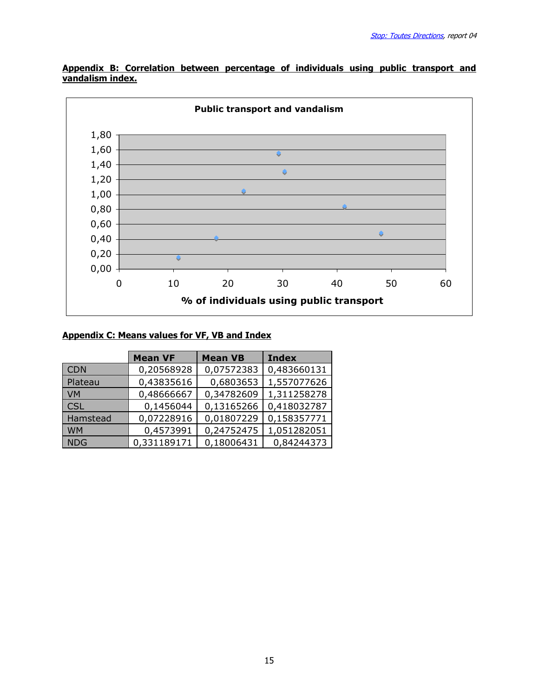![](_page_14_Figure_1.jpeg)

Appendix B: Correlation between percentage of individuals using public transport and vandalism index.

### Appendix C: Means values for VF, VB and Index

|            | <b>Mean VF</b> | <b>Mean VB</b> | <b>Index</b> |
|------------|----------------|----------------|--------------|
| <b>CDN</b> | 0,20568928     | 0,07572383     | 0,483660131  |
| Plateau    | 0,43835616     | 0,6803653      | 1,557077626  |
| <b>VM</b>  | 0,48666667     | 0,34782609     | 1,311258278  |
| <b>CSL</b> | 0,1456044      | 0,13165266     | 0,418032787  |
| Hamstead   | 0,07228916     | 0,01807229     | 0,158357771  |
| <b>WM</b>  | 0,4573991      | 0,24752475     | 1,051282051  |
| <b>NDG</b> | 0,331189171    | 0,18006431     | 0,84244373   |